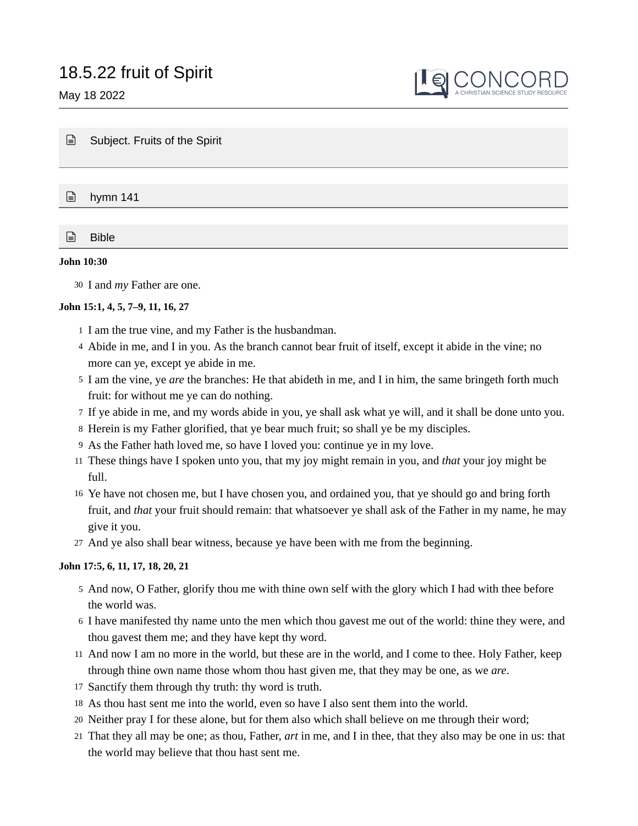May 18 2022



■ Subject. Fruits of the Spirit

 $\Box$  hymn 141

 $\Box$  Bible

### **John 10:30**

30 I and *my* Father are one.

## **John 15:1, 4, 5, 7–9, 11, 16, 27**

- 1 I am the true vine, and my Father is the husbandman.
- 4 Abide in me, and I in you. As the branch cannot bear fruit of itself, except it abide in the vine; no more can ye, except ye abide in me.
- 5 I am the vine, ye *are* the branches: He that abideth in me, and I in him, the same bringeth forth much fruit: for without me ye can do nothing.
- 7 If ye abide in me, and my words abide in you, ye shall ask what ye will, and it shall be done unto you.
- 8 Herein is my Father glorified, that ye bear much fruit; so shall ye be my disciples.
- As the Father hath loved me, so have I loved you: continue ye in my love. 9
- These things have I spoken unto you, that my joy might remain in you, and *that* your joy might be 11 full.
- Ye have not chosen me, but I have chosen you, and ordained you, that ye should go and bring forth 16 fruit, and *that* your fruit should remain: that whatsoever ye shall ask of the Father in my name, he may give it you.
- And ye also shall bear witness, because ye have been with me from the beginning. 27

# **John 17:5, 6, 11, 17, 18, 20, 21**

- 5 And now, O Father, glorify thou me with thine own self with the glory which I had with thee before the world was.
- 6 I have manifested thy name unto the men which thou gavest me out of the world: thine they were, and thou gavest them me; and they have kept thy word.
- 11 And now I am no more in the world, but these are in the world, and I come to thee. Holy Father, keep through thine own name those whom thou hast given me, that they may be one, as we *are*.
- 17 Sanctify them through thy truth: thy word is truth.
- As thou hast sent me into the world, even so have I also sent them into the world. 18
- Neither pray I for these alone, but for them also which shall believe on me through their word; 20
- That they all may be one; as thou, Father, *art* in me, and I in thee, that they also may be one in us: that 21the world may believe that thou hast sent me.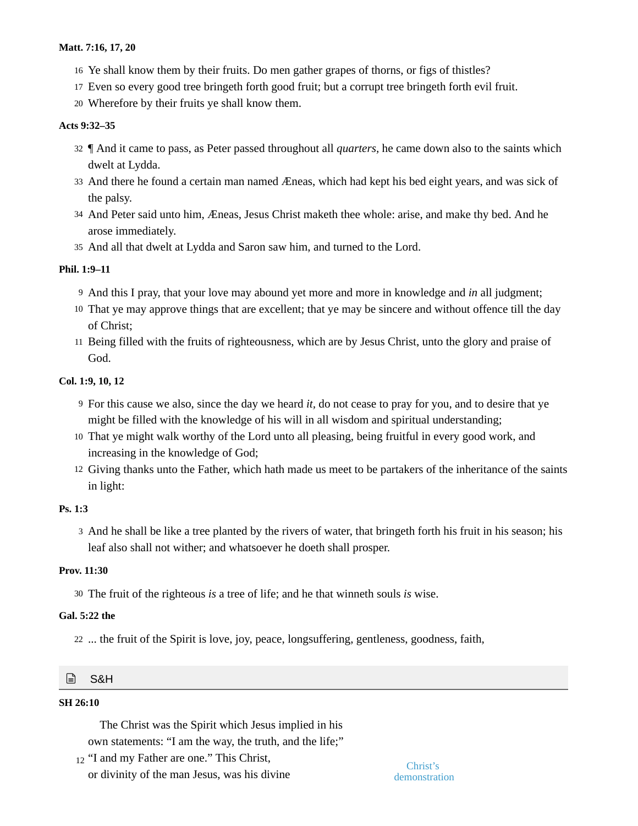## **Matt. 7:16, 17, 20**

- Ye shall know them by their fruits. Do men gather grapes of thorns, or figs of thistles? 16
- 17 Even so every good tree bringeth forth good fruit; but a corrupt tree bringeth forth evil fruit.
- Wherefore by their fruits ye shall know them. 20

### **Acts 9:32–35**

- ¶ And it came to pass, as Peter passed throughout all *quarters,* he came down also to the saints which 32 dwelt at Lydda.
- 33 And there he found a certain man named Æneas, which had kept his bed eight years, and was sick of the palsy.
- And Peter said unto him, Æneas, Jesus Christ maketh thee whole: arise, and make thy bed. And he 34 arose immediately.
- 35 And all that dwelt at Lydda and Saron saw him, and turned to the Lord.

# **Phil. 1:9–11**

- And this I pray, that your love may abound yet more and more in knowledge and *in* all judgment; 9
- 10 That ye may approve things that are excellent; that ye may be sincere and without offence till the day of Christ;
- 11 Being filled with the fruits of righteousness, which are by Jesus Christ, unto the glory and praise of God.

# **Col. 1:9, 10, 12**

- For this cause we also, since the day we heard *it,* do not cease to pray for you, and to desire that ye 9 might be filled with the knowledge of his will in all wisdom and spiritual understanding;
- That ye might walk worthy of the Lord unto all pleasing, being fruitful in every good work, and 10 increasing in the knowledge of God;
- 12 Giving thanks unto the Father, which hath made us meet to be partakers of the inheritance of the saints in light:

# **Ps. 1:3**

3 And he shall be like a tree planted by the rivers of water, that bringeth forth his fruit in his season; his leaf also shall not wither; and whatsoever he doeth shall prosper.

### **Prov. 11:30**

30 The fruit of the righteous *is* a tree of life; and he that winneth souls *is* wise.

# **Gal. 5:22 the**

22 ... the fruit of the Spirit is love, joy, peace, longsuffering, gentleness, goodness, faith,

### I≡ì S&H

### **SH 26:10**

The Christ was the Spirit which Jesus implied in his own statements: "I am the way, the truth, and the life;"

12 "I and my Father are one." This Christ,<br>Christ's or divinity of the man Jesus, was his divine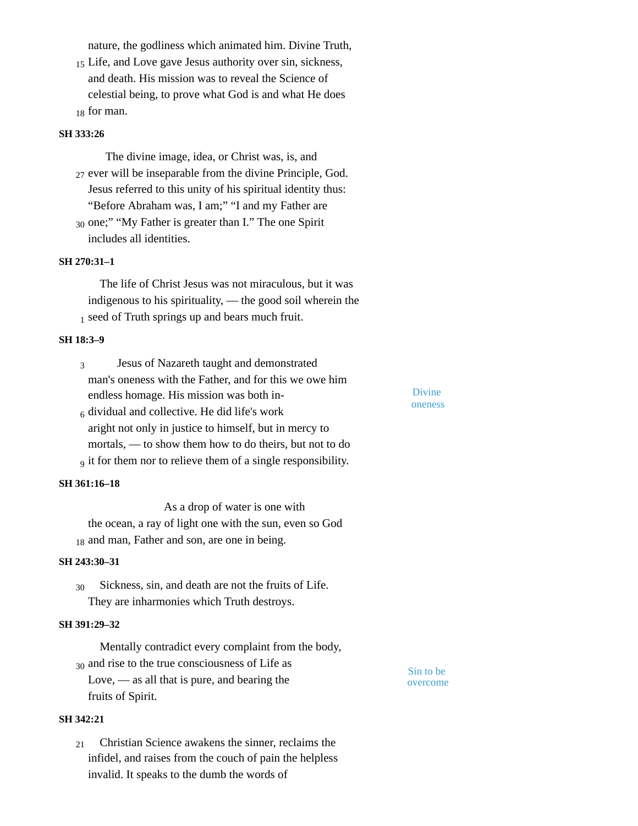nature, the godliness which animated him. Divine Truth,

15 Life, and Love gave Jesus authority over sin, sickness, and death. His mission was to reveal the Science of celestial being, to prove what God is and what He does  $_{18}$  for man.

#### **SH 333:26**

The divine image, idea, or Christ was, is, and 27 ever will be inseparable from the divine Principle, God. Jesus referred to this unity of his spiritual identity thus: "Before Abraham was, I am;" "I and my Father are

30 one;" "My Father is greater than I." The one Spirit includes all identities.

### **SH 270:31–1**

The life of Christ Jesus was not miraculous, but it was indigenous to his spirituality, — the good soil wherein the  $<sub>1</sub>$  seed of Truth springs up and bears much fruit.</sub>

## **SH 18:3–9**

Jesus of Nazareth taught and demonstrated man's oneness with the Father, and for this we owe him endless homage. His mission was both in-3

 $_6$  dividual and collective. He did life's work aright not only in justice to himself, but in mercy to mortals, — to show them how to do theirs, but not to do  $_9$  it for them nor to relieve them of a single responsibility.

#### **SH 361:16–18**

As a drop of water is one with the ocean, a ray of light one with the sun, even so God 18 and man, Father and son, are one in being.

#### **SH 243:30–31**

Sickness, sin, and death are not the fruits of Life. They are inharmonies which Truth destroys. 30

#### **SH 391:29–32**

Mentally contradict every complaint from the body,  $\frac{30}{20}$  and rise to the true consciousness of Life as  $\frac{30}{20}$  Sin to be Love, — as all that is pure, and bearing the fruits of Spirit.

**SH 342:21**

Christian Science awakens the sinner, reclaims the infidel, and raises from the couch of pain the helpless invalid. It speaks to the dumb the words of 21

Divine oneness

overcome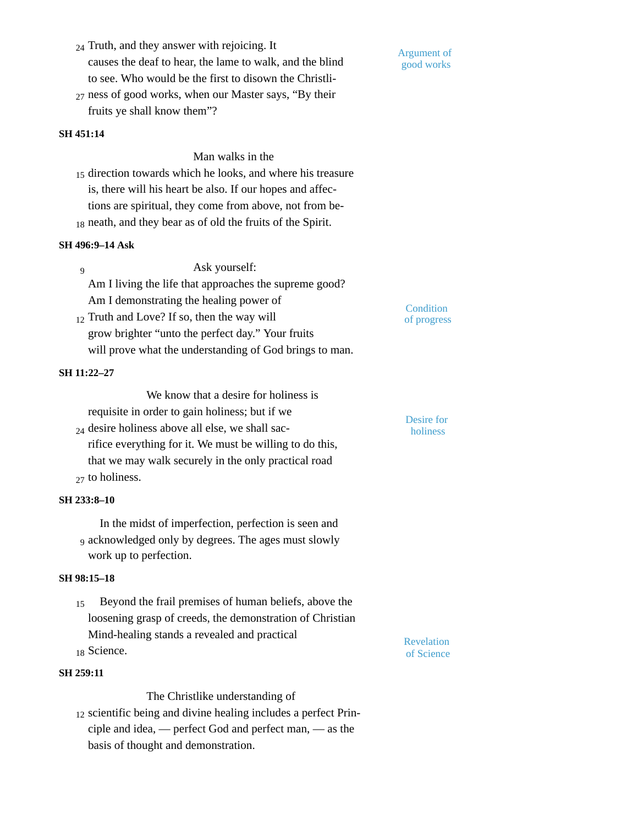- 24 Truth, and they answer with rejoicing. It causes the deaf to hear, the lame to walk, and the blind to see. Who would be the first to disown the Christli-
- 27 ness of good works, when our Master says, "By their fruits ye shall know them"?

## **SH 451:14**

Man walks in the

15 direction towards which he looks, and where his treasure is, there will his heart be also. If our hopes and affections are spiritual, they come from above, not from be- $_{18}$  neath, and they bear as of old the fruits of the Spirit.

#### **SH 496:9–14 Ask**

Ask yourself: Am I living the life that approaches the supreme good? Am I demonstrating the healing power of  $\overline{q}$ 

 $_{12}$  Truth and Love? If so, then the way will  $_{\text{of progress}}$ grow brighter "unto the perfect day." Your fruits will prove what the understanding of God brings to man.

#### **SH 11:22–27**

We know that a desire for holiness is

requisite in order to gain holiness; but if we  $_{24}$  desire holiness above all else, we shall sac-<br>holiness rifice everything for it. We must be willing to do this, that we may walk securely in the only practical road <sub>27</sub> to holiness.

### **SH 233:8–10**

In the midst of imperfection, perfection is seen and acknowledged only by degrees. The ages must slowly 9 work up to perfection.

#### **SH 98:15–18**

**SH 259:11**

Beyond the frail premises of human beliefs, above the loosening grasp of creeds, the demonstration of Christian Mind-healing stands a revealed and practical 18 Science. 15 18 **SCIENCE.** of Science

Revelation

The Christlike understanding of 12 scientific being and divine healing includes a perfect Principle and idea, — perfect God and perfect man, — as the basis of thought and demonstration.

Desire for

**Condition** 

Argument of good works